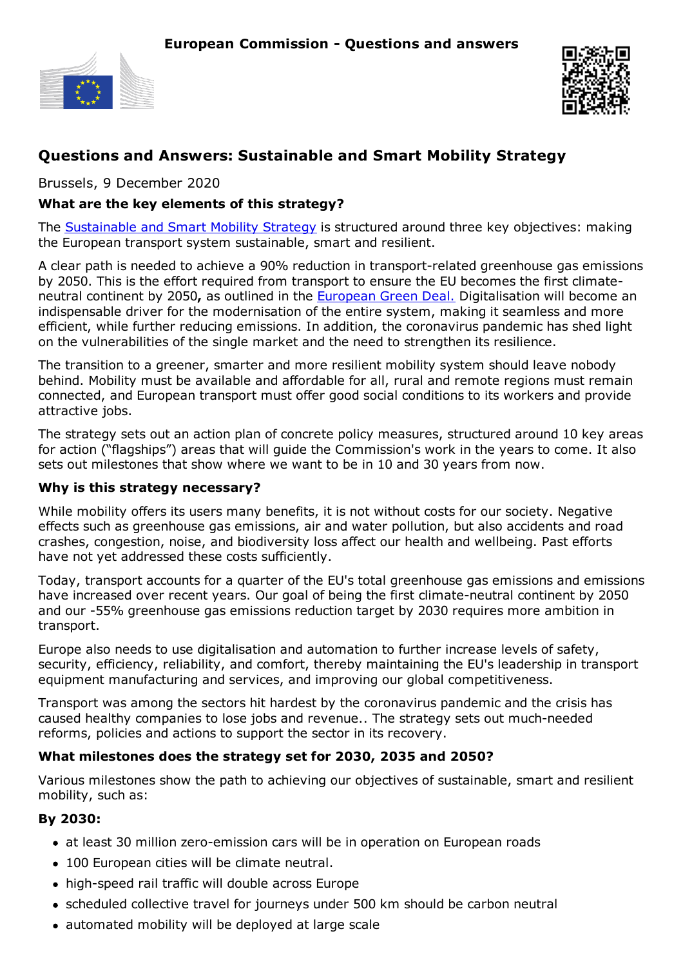



# **Questions and Answers: Sustainable and Smart Mobility Strategy**

Brussels, 9 December 2020

#### **What are the key elements of this strategy?**

The [Sustainable](https://ec.europa.eu/transport/sites/transport/files/legislation/com20200789.pdf) and Smart Mobility Strategy is structured around three key objectives: making the European transport system sustainable, smart and resilient.

A clear path is needed to achieve a 90% reduction in transport-related greenhouse gas emissions by 2050. This is the effort required from transport to ensure the EU becomes the first climateneutral continent by 2050**,** as outlined in the [European](https://ec.europa.eu/info/strategy/priorities-2019-2024/european-green-deal_en) Green Deal. Digitalisation will become an indispensable driver for the modernisation of the entire system, making it seamless and more efficient, while further reducing emissions. In addition, the coronavirus pandemic has shed light on the vulnerabilities of the single market and the need to strengthen its resilience.

The transition to a greener, smarter and more resilient mobility system should leave nobody behind. Mobility must be available and affordable for all, rural and remote regions must remain connected, and European transport must offer good social conditions to its workers and provide attractive jobs.

The strategy sets out an action plan of concrete policy measures, structured around 10 key areas for action ("flagships") areas that will guide the Commission's work in the years to come. It also sets out milestones that show where we want to be in 10 and 30 years from now.

#### **Why is this strategy necessary?**

While mobility offers its users many benefits, it is not without costs for our society. Negative effects such as greenhouse gas emissions, air and water pollution, but also accidents and road crashes, congestion, noise, and biodiversity loss affect our health and wellbeing. Past efforts have not yet addressed these costs sufficiently.

Today, transport accounts for a quarter of the EU's total greenhouse gas emissions and emissions have increased over recent years. Our goal of being the first climate-neutral continent by 2050 and our -55% greenhouse gas emissions reduction target by 2030 requires more ambition in transport.

Europe also needs to use digitalisation and automation to further increase levels of safety, security, efficiency, reliability, and comfort, thereby maintaining the EU's leadership in transport equipment manufacturing and services, and improving our global competitiveness.

Transport was among the sectors hit hardest by the coronavirus pandemic and the crisis has caused healthy companies to lose jobs and revenue.. The strategy sets out much-needed reforms, policies and actions to support the sector in its recovery.

#### **What milestones does the strategy set for 2030, 2035 and 2050?**

Various milestones show the path to achieving our objectives of sustainable, smart and resilient mobility, such as:

#### **By 2030:**

- at least 30 million zero-emission cars will be in operation on European roads
- 100 European cities will be climate neutral.
- high-speed rail traffic will double across Europe
- scheduled collective travel for journeys under 500 km should be carbon neutral
- automated mobility will be deployed at large scale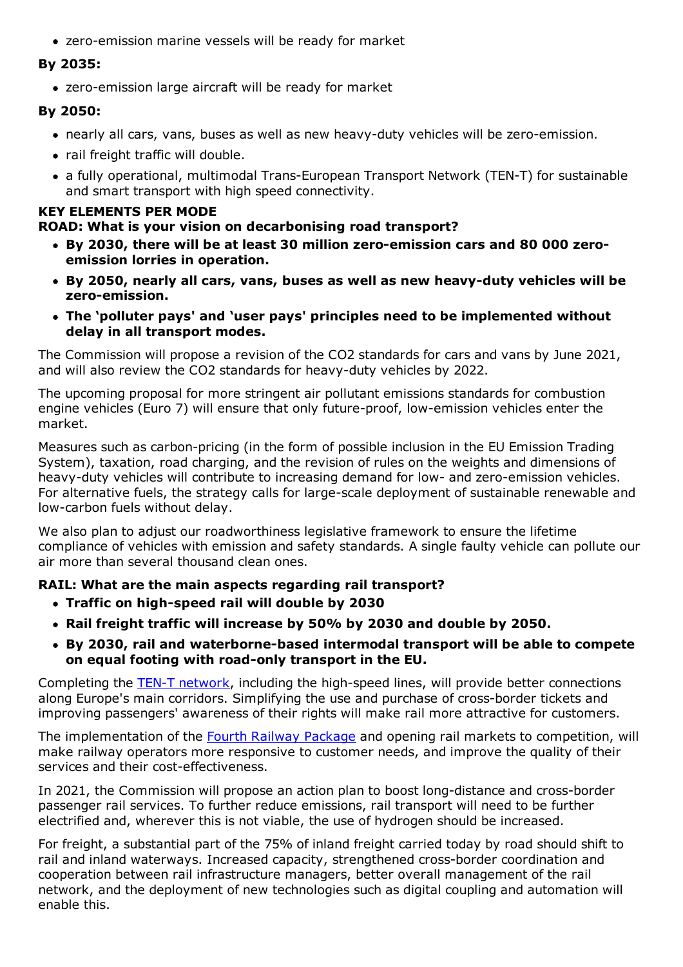zero-emission marine vessels will be ready for market

## **By 2035:**

zero-emission large aircraft will be ready for market

## **By 2050:**

- nearly all cars, vans, buses as well as new heavy-duty vehicles will be zero-emission.
- rail freight traffic will double.
- a fully operational, multimodal Trans-European Transport Network (TEN-T) for sustainable and smart transport with high speed connectivity.

# **KEY ELEMENTS PER MODE**

## **ROAD: What is your vision on decarbonising road transport?**

- **By 2030, there will be at least 30 million zero-emission cars and 80 000 zeroemission lorries in operation.**
- **By 2050, nearly all cars, vans, buses as well as new heavy-duty vehicles will be zero-emission.**
- **The 'polluter pays' and 'user pays' principles need to be implemented without delay in all transport modes.**

The Commission will propose a revision of the CO2 standards for cars and vans by June 2021, and will also review the CO2 standards for heavy-duty vehicles by 2022.

The upcoming proposal for more stringent air pollutant emissions standards for combustion engine vehicles (Euro 7) will ensure that only future-proof, low-emission vehicles enter the market.

Measures such as carbon-pricing (in the form of possible inclusion in the EU Emission Trading System), taxation, road charging, and the revision of rules on the weights and dimensions of heavy-duty vehicles will contribute to increasing demand for low- and zero-emission vehicles. For alternative fuels, the strategy calls for large-scale deployment of sustainable renewable and low-carbon fuels without delay.

We also plan to adjust our roadworthiness legislative framework to ensure the lifetime compliance of vehicles with emission and safety standards. A single faulty vehicle can pollute our air more than several thousand clean ones.

# **RAIL: What are the main aspects regarding rail transport?**

- **Traffic on high-speed rail will double by 2030**
- **Rail freight traffic will increase by 50% by 2030 and double by 2050.**
- **By 2030, rail and waterborne-based intermodal transport will be able to compete on equal footing with road-only transport in the EU.**

Completing the TEN-T [network](https://ec.europa.eu/transport/themes/infrastructure/ten-t_en), including the high-speed lines, will provide better connections along Europe's main corridors. Simplifying the use and purchase of cross-border tickets and improving passengers' awareness of their rights will make rail more attractive for customers.

The implementation of the Fourth Railway [Package](https://ec.europa.eu/transport/modes/rail/packages/2013_en) and opening rail markets to competition, will make railway operators more responsive to customer needs, and improve the quality of their services and their cost-effectiveness.

In 2021, the Commission will propose an action plan to boost long-distance and cross-border passenger rail services. To further reduce emissions, rail transport will need to be further electrified and, wherever this is not viable, the use of hydrogen should be increased.

For freight, a substantial part of the 75% of inland freight carried today by road should shift to rail and inland waterways. Increased capacity, strengthened cross-border coordination and cooperation between rail infrastructure managers, better overall management of the rail network, and the deployment of new technologies such as digital coupling and automation will enable this.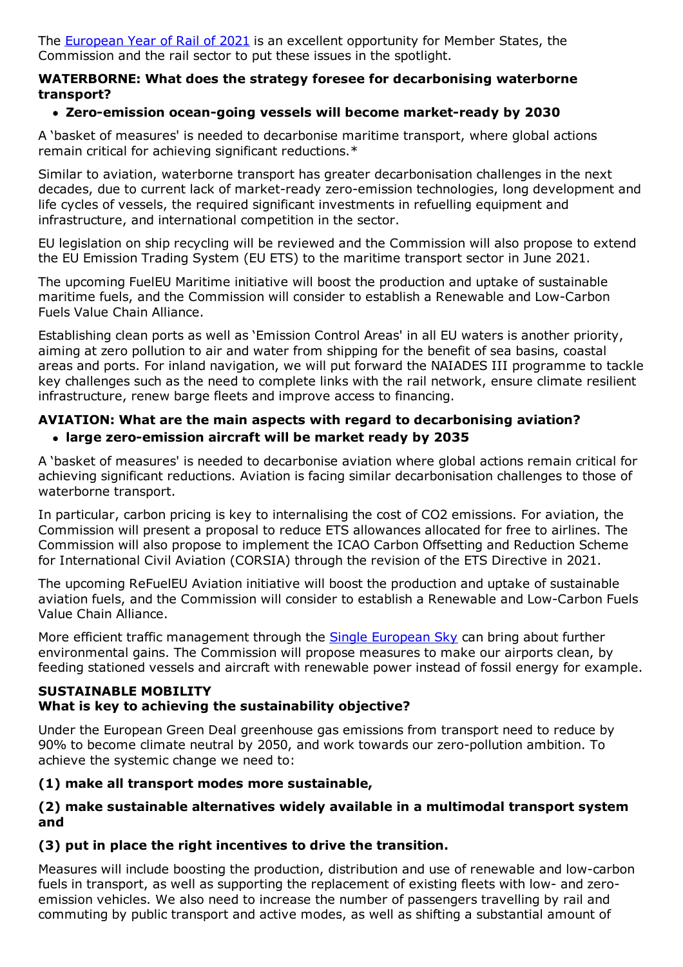The [European](https://ec.europa.eu/commission/presscorner/detail/en/ip_20_364) Year of Rail of 2021 is an excellent opportunity for Member States, the Commission and the rail sector to put these issues in the spotlight.

#### **WATERBORNE: What does the strategy foresee for decarbonising waterborne transport?**

## **Zero-emission ocean-going vessels will become market-ready by 2030**

A 'basket of measures' is needed to decarbonise maritime transport, where global actions remain critical for achieving significant reductions.\*

Similar to aviation, waterborne transport has greater decarbonisation challenges in the next decades, due to current lack of market-ready zero-emission technologies, long development and life cycles of vessels, the required significant investments in refuelling equipment and infrastructure, and international competition in the sector.

EU legislation on ship recycling will be reviewed and the Commission will also propose to extend the EU Emission Trading System (EU ETS) to the maritime transport sector in June 2021.

The upcoming FuelEU Maritime initiative will boost the production and uptake of sustainable maritime fuels, and the Commission will consider to establish a Renewable and Low-Carbon Fuels Value Chain Alliance.

Establishing clean ports as well as 'Emission Control Areas' in all EU waters is another priority, aiming at zero pollution to air and water from shipping for the benefit of sea basins, coastal areas and ports. For inland navigation, we will put forward the NAIADES III programme to tackle key challenges such as the need to complete links with the rail network, ensure climate resilient infrastructure, renew barge fleets and improve access to financing.

## **AVIATION: What are the main aspects with regard to decarbonising aviation? large zero-emission aircraft will be market ready by 2035**

A 'basket of measures' is needed to decarbonise aviation where global actions remain critical for achieving significant reductions. Aviation is facing similar decarbonisation challenges to those of waterborne transport.

In particular, carbon pricing is key to internalising the cost of CO2 emissions. For aviation, the Commission will present a proposal to reduce ETS allowances allocated for free to airlines. The Commission will also propose to implement the ICAO Carbon Offsetting and Reduction Scheme for International Civil Aviation (CORSIA) through the revision of the ETS Directive in 2021.

The upcoming ReFuelEU Aviation initiative will boost the production and uptake of sustainable aviation fuels, and the Commission will consider to establish a Renewable and Low-Carbon Fuels Value Chain Alliance.

More efficient traffic management through the **Single [European](https://ec.europa.eu/commission/presscorner/detail/en/ip_20_1708) Sky** can bring about further environmental gains. The Commission will propose measures to make our airports clean, by feeding stationed vessels and aircraft with renewable power instead of fossil energy for example.

#### **SUSTAINABLE MOBILITY What is key to achieving the sustainability objective?**

Under the European Green Deal greenhouse gas emissions from transport need to reduce by 90% to become climate neutral by 2050, and work towards our zero-pollution ambition. To achieve the systemic change we need to:

#### **(1) make all transport modes more sustainable,**

#### **(2) make sustainable alternatives widely available in a multimodal transport system and**

# **(3) put in place the right incentives to drive the transition.**

Measures will include boosting the production, distribution and use of renewable and low-carbon fuels in transport, as well as supporting the replacement of existing fleets with low- and zeroemission vehicles. We also need to increase the number of passengers travelling by rail and commuting by public transport and active modes, as well as shifting a substantial amount of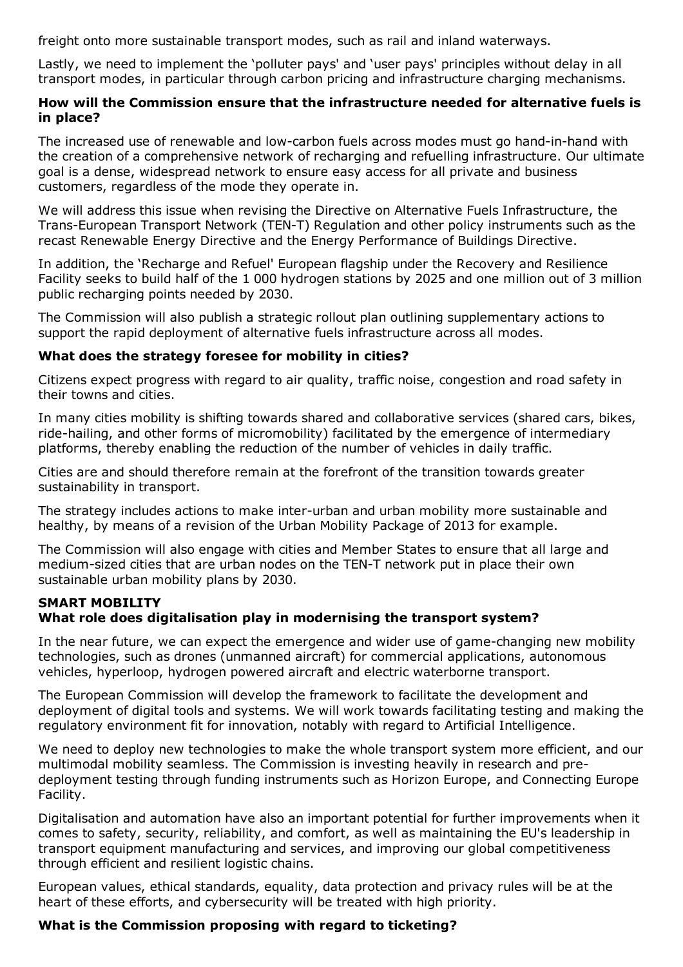freight onto more sustainable transport modes, such as rail and inland waterways.

Lastly, we need to implement the 'polluter pays' and 'user pays' principles without delay in all transport modes, in particular through carbon pricing and infrastructure charging mechanisms.

#### **How will the Commission ensure that the infrastructure needed for alternative fuels is in place?**

The increased use of renewable and low-carbon fuels across modes must go hand-in-hand with the creation of a comprehensive network of recharging and refuelling infrastructure. Our ultimate goal is a dense, widespread network to ensure easy access for all private and business customers, regardless of the mode they operate in.

We will address this issue when revising the Directive on Alternative Fuels Infrastructure, the Trans-European Transport Network (TEN-T) Regulation and other policy instruments such as the recast Renewable Energy Directive and the Energy Performance of Buildings Directive.

In addition, the 'Recharge and Refuel' European flagship under the Recovery and Resilience Facility seeks to build half of the 1 000 hydrogen stations by 2025 and one million out of 3 million public recharging points needed by 2030.

The Commission will also publish a strategic rollout plan outlining supplementary actions to support the rapid deployment of alternative fuels infrastructure across all modes.

#### **What does the strategy foresee for mobility in cities?**

Citizens expect progress with regard to air quality, traffic noise, congestion and road safety in their towns and cities.

In many cities mobility is shifting towards shared and collaborative services (shared cars, bikes, ride-hailing, and other forms of micromobility) facilitated by the emergence of intermediary platforms, thereby enabling the reduction of the number of vehicles in daily traffic.

Cities are and should therefore remain at the forefront of the transition towards greater sustainability in transport.

The strategy includes actions to make inter-urban and urban mobility more sustainable and healthy, by means of a revision of the Urban Mobility Package of 2013 for example.

The Commission will also engage with cities and Member States to ensure that all large and medium-sized cities that are urban nodes on the TEN-T network put in place their own sustainable urban mobility plans by 2030.

#### **SMART MOBILITY What role does digitalisation play in modernising the transport system?**

In the near future, we can expect the emergence and wider use of game-changing new mobility technologies, such as drones (unmanned aircraft) for commercial applications, autonomous vehicles, hyperloop, hydrogen powered aircraft and electric waterborne transport.

The European Commission will develop the framework to facilitate the development and deployment of digital tools and systems. We will work towards facilitating testing and making the regulatory environment fit for innovation, notably with regard to Artificial Intelligence.

We need to deploy new technologies to make the whole transport system more efficient, and our multimodal mobility seamless. The Commission is investing heavily in research and predeployment testing through funding instruments such as Horizon Europe, and Connecting Europe Facility.

Digitalisation and automation have also an important potential for further improvements when it comes to safety, security, reliability, and comfort, as well as maintaining the EU's leadership in transport equipment manufacturing and services, and improving our global competitiveness through efficient and resilient logistic chains.

European values, ethical standards, equality, data protection and privacy rules will be at the heart of these efforts, and cybersecurity will be treated with high priority.

#### **What is the Commission proposing with regard to ticketing?**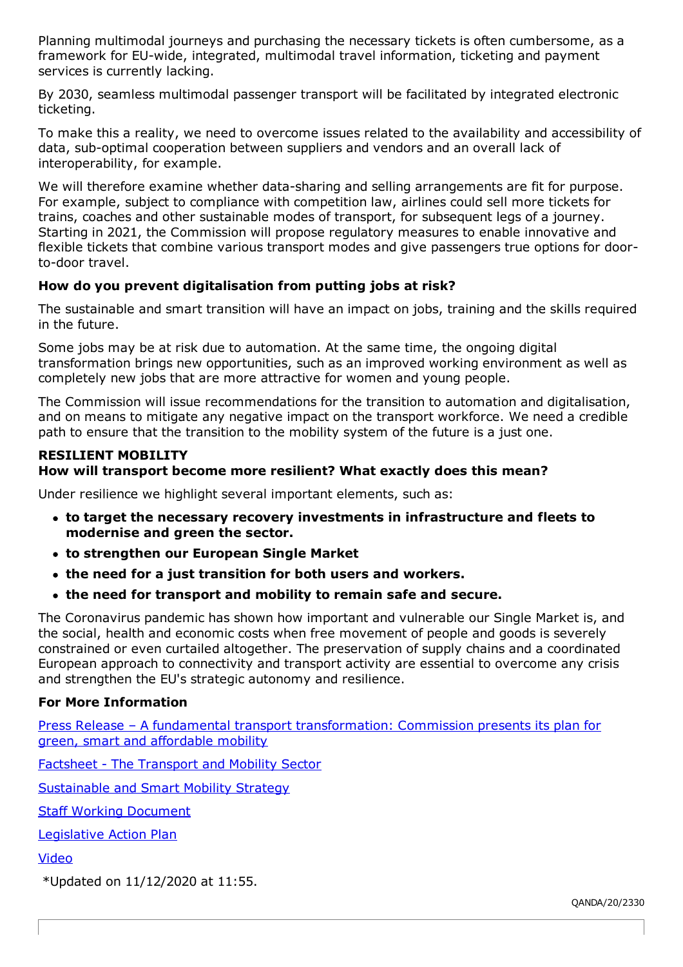Planning multimodal journeys and purchasing the necessary tickets is often cumbersome, as a framework for EU-wide, integrated, multimodal travel information, ticketing and payment services is currently lacking.

By 2030, seamless multimodal passenger transport will be facilitated by integrated electronic ticketing.

To make this a reality, we need to overcome issues related to the availability and accessibility of data, sub-optimal cooperation between suppliers and vendors and an overall lack of interoperability, for example.

We will therefore examine whether data-sharing and selling arrangements are fit for purpose. For example, subject to compliance with competition law, airlines could sell more tickets for trains, coaches and other sustainable modes of transport, for subsequent legs of a journey. Starting in 2021, the Commission will propose regulatory measures to enable innovative and flexible tickets that combine various transport modes and give passengers true options for doorto-door travel.

# **How do you prevent digitalisation from putting jobs at risk?**

The sustainable and smart transition will have an impact on jobs, training and the skills required in the future.

Some jobs may be at risk due to automation. At the same time, the ongoing digital transformation brings new opportunities, such as an improved working environment as well as completely new jobs that are more attractive for women and young people.

The Commission will issue recommendations for the transition to automation and digitalisation, and on means to mitigate any negative impact on the transport workforce. We need a credible path to ensure that the transition to the mobility system of the future is a just one.

#### **RESILIENT MOBILITY**

# **How will transport become more resilient? What exactly does this mean?**

Under resilience we highlight several important elements, such as:

- **to target the necessary recovery investments in infrastructure and fleets to modernise and green the sector.**
- **to strengthen our European Single Market**
- **the need for a just transition for both users and workers.**
- **the need for transport and mobility to remain safe and secure.**

The Coronavirus pandemic has shown how important and vulnerable our Single Market is, and the social, health and economic costs when free movement of people and goods is severely constrained or even curtailed altogether. The preservation of supply chains and a coordinated European approach to connectivity and transport activity are essential to overcome any crisis and strengthen the EU's strategic autonomy and resilience.

# **For More Information**

Press Release – A fundamental transport [transformation:](https://ec.europa.eu/commission/presscorner/detail/en/ip_20_2329) Commission presents its plan for green, smart and affordable mobility

Factsheet - The [Transport](https://ec.europa.eu/commission/presscorner/detail/en/fs_20_2350) and Mobility Sector

[Sustainable](https://ec.europa.eu/transport/sites/transport/files/legislation/com20200789.pdf) and Smart Mobility Strategy

Staff Working [Document](https://ec.europa.eu/transport/sites/transport/files/legislation/swd20200331.pdf)

[Legislative](https://ec.europa.eu/transport/sites/transport/files/legislation/com20200789-annex.pdf) Action Plan

[Video](https://audiovisual.ec.europa.eu/en/video/I-200032)

\*Updated on 11/12/2020 at 11:55.